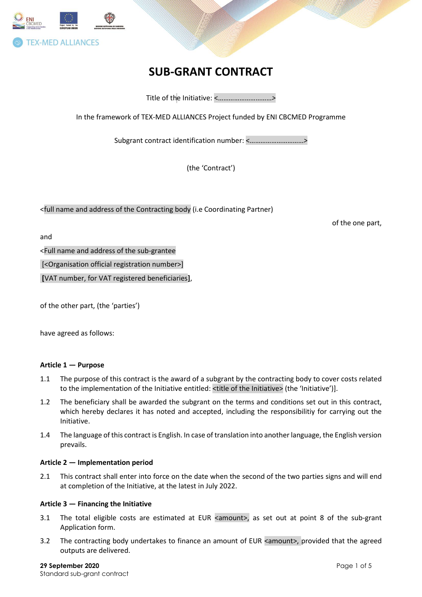

# **SUB-GRANT CONTRACT**

Title of the Initiative: <…………………………*>*

In the framework of TEX-MED ALLIANCES Project funded by ENI CBCMED Programme

Subgrant contract identification number: <…………………………*>*

(the 'Contract')

<full name and address of the Contracting body (i.e Coordinating Partner)

of the one part,

and

<Full name and address of the sub-grantee

[<Organisation official registration number>]

**[**VAT number, for VAT registered beneficiaries**]**,

of the other part, (the 'parties')

have agreed as follows:

# **Article 1 — Purpose**

- 1.1 The purpose of this contract is the award of a subgrant by the contracting body to cover costs related to the implementation of the Initiative entitled: <title of the Initiative> (the 'Initiative')].
- 1.2 The beneficiary shall be awarded the subgrant on the terms and conditions set out in this contract, which hereby declares it has noted and accepted, including the responsibilitiy for carrying out the Initiative.
- 1.4 The language of this contract is English. In case of translation into another language, the English version prevails.

# **Article 2 — Implementation period**

2.1 This contract shall enter into force on the date when the second of the two parties signs and will end at completion of the Initiative, at the latest in July 2022.

#### **Article 3 — Financing the Initiative**

- 3.1 The total eligible costs are estimated at EUR <amount>, as set out at point 8 of the sub-grant Application form.
- 3.2 The contracting body undertakes to finance an amount of EUR <amount>, provided that the agreed outputs are delivered.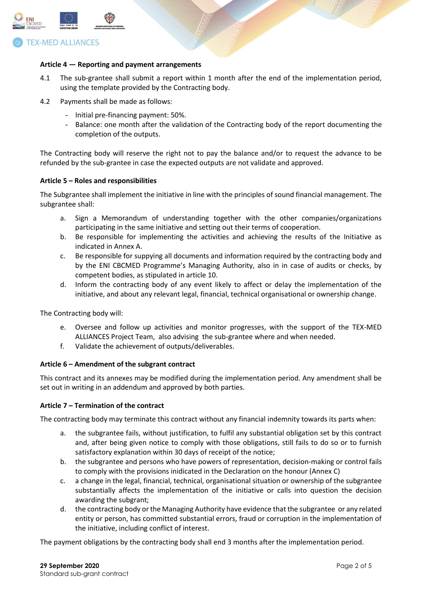

# **TEX-MED ALLIANCES**

#### **Article 4 — Reporting and payment arrangements**

- 4.1 The sub-grantee shall submit a report within 1 month after the end of the implementation period, using the template provided by the Contracting body.
- 4.2 Payments shall be made as follows:
	- Initial pre-financing payment: 50%.
	- Balance: one month after the validation of the Contracting body of the report documenting the completion of the outputs.

The Contracting body will reserve the right not to pay the balance and/or to request the advance to be refunded by the sub-grantee in case the expected outputs are not validate and approved.

#### **Article 5 – Roles and responsibilities**

The Subgrantee shall implement the initiative in line with the principles of sound financial management. The subgrantee shall:

- a. Sign a Memorandum of understanding together with the other companies/organizations participating in the same initiative and setting out their terms of cooperation.
- b. Be responsible for implementing the activities and achieving the results of the Initiative as indicated in Annex A.
- c. Be responsible for suppying all documents and information required by the contracting body and by the ENI CBCMED Programme's Managing Authority, also in in case of audits or checks, by competent bodies, as stipulated in article 10.
- d. Inform the contracting body of any event likely to affect or delay the implementation of the initiative, and about any relevant legal, financial, technical organisational or ownership change.

The Contracting body will:

- e. Oversee and follow up activities and monitor progresses, with the support of the TEX-MED ALLIANCES Project Team, also advising the sub-grantee where and when needed.
- f. Validate the achievement of outputs/deliverables.

# **Article 6 – Amendment of the subgrant contract**

This contract and its annexes may be modified during the implementation period. Any amendment shall be set out in writing in an addendum and approved by both parties.

#### **Article 7 – Termination of the contract**

The contracting body may terminate this contract without any financial indemnity towards its parts when:

- a. the subgrantee fails, without justification, to fulfil any substantial obligation set by this contract and, after being given notice to comply with those obligations, still fails to do so or to furnish satisfactory explanation within 30 days of receipt of the notice;
- b. the subgrantee and persons who have powers of representation, decision-making or control fails to comply with the provisions inidicated in the Declaration on the honour (Annex C)
- c. a change in the legal, financial, technical, organisational situation or ownership of the subgrantee substantially affects the implementation of the initiative or calls into question the decision awarding the subgrant;
- d. the contracting body or the Managing Authority have evidence that the subgrantee or any related entity or person, has committed substantial errors, fraud or corruption in the implementation of the initiative, including conflict of interest.

The payment obligations by the contracting body shall end 3 months after the implementation period.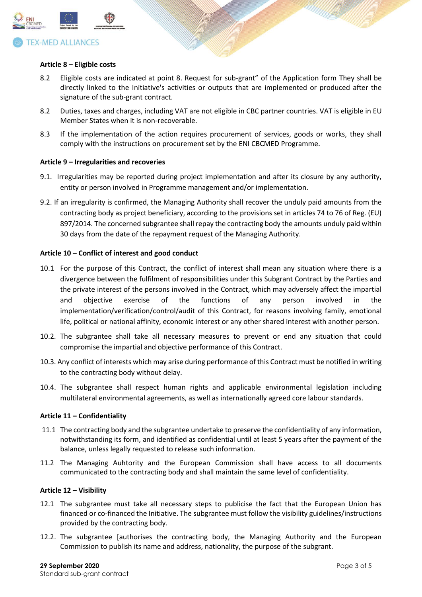

#### **Article 8 – Eligible costs**

- 8.2 Eligible costs are indicated at point 8. Request for sub-grant" of the Application form They shall be directly linked to the Initiative's activities or outputs that are implemented or produced after the signature of the sub-grant contract.
- 8.2 Duties, taxes and charges, including VAT are not eligible in CBC partner countries. VAT is eligible in EU Member States when it is non-recoverable.
- 8.3 If the implementation of the action requires procurement of services, goods or works, they shall comply with the instructions on procurement set by the ENI CBCMED Programme.

#### **Article 9 – Irregularities and recoveries**

- 9.1. Irregularities may be reported during project implementation and after its closure by any authority, entity or person involved in Programme management and/or implementation.
- 9.2. If an irregularity is confirmed, the Managing Authority shall recover the unduly paid amounts from the contracting body as project beneficiary, according to the provisions set in articles 74 to 76 of Reg. (EU) 897/2014. The concerned subgrantee shall repay the contracting body the amounts unduly paid within 30 days from the date of the repayment request of the Managing Authority.

#### **Article 10 – Conflict of interest and good conduct**

- 10.1 For the purpose of this Contract, the conflict of interest shall mean any situation where there is a divergence between the fulfilment of responsibilities under this Subgrant Contract by the Parties and the private interest of the persons involved in the Contract, which may adversely affect the impartial and objective exercise of the functions of any person involved in the implementation/verification/control/audit of this Contract, for reasons involving family, emotional life, political or national affinity, economic interest or any other shared interest with another person.
- 10.2. The subgrantee shall take all necessary measures to prevent or end any situation that could compromise the impartial and objective performance of this Contract.
- 10.3. Any conflict of interests which may arise during performance of this Contract must be notified in writing to the contracting body without delay.
- 10.4. The subgrantee shall respect human rights and applicable environmental legislation including multilateral environmental agreements, as well as internationally agreed core labour standards.

#### **Article 11 – Confidentiality**

- 11.1 The contracting body and the subgrantee undertake to preserve the confidentiality of any information, notwithstanding its form, and identified as confidential until at least 5 years after the payment of the balance, unless legally requested to release such information.
- 11.2 The Managing Auhtority and the European Commission shall have access to all documents communicated to the contracting body and shall maintain the same level of confidentiality.

#### **Article 12 – Visibility**

- 12.1 The subgrantee must take all necessary steps to publicise the fact that the European Union has financed or co-financed the Initiative. The subgrantee must follow the visibility guidelines/instructions provided by the contracting body.
- 12.2. The subgrantee [authorises the contracting body, the Managing Authority and the European Commission to publish its name and address, nationality, the purpose of the subgrant.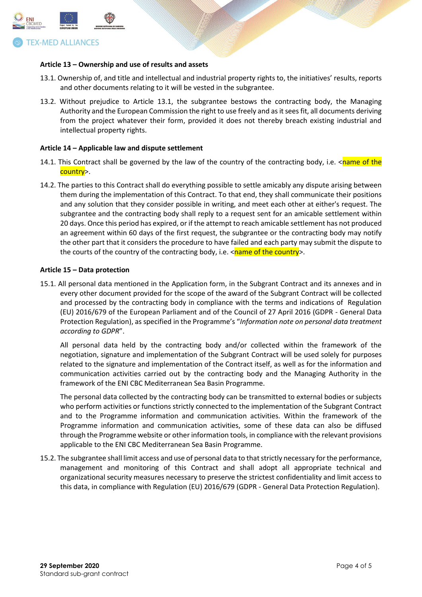

#### **Article 13 – Ownership and use of results and assets**

- 13.1. Ownership of, and title and intellectual and industrial property rights to, the initiatives' results, reports and other documents relating to it will be vested in the subgrantee.
- 13.2. Without prejudice to Article 13.1, the subgrantee bestows the contracting body, the Managing Authority and the European Commission the right to use freely and as it sees fit, all documents deriving from the project whatever their form, provided it does not thereby breach existing industrial and intellectual property rights.

#### **Article 14 – Applicable law and dispute settlement**

- 14.1. This Contract shall be governed by the law of the country of the contracting body, i.e.  $\langle$ name of the country>.
- 14.2. The parties to this Contract shall do everything possible to settle amicably any dispute arising between them during the implementation of this Contract. To that end, they shall communicate their positions and any solution that they consider possible in writing, and meet each other at either's request. The subgrantee and the contracting body shall reply to a request sent for an amicable settlement within 20 days. Once this period has expired, or if the attempt to reach amicable settlement has not produced an agreement within 60 days of the first request, the subgrantee or the contracting body may notify the other part that it considers the procedure to have failed and each party may submit the dispute to the courts of the country of the contracting body, i.e.  $\langle$ name of the country>.

#### **Article 15 – Data protection**

15.1. All personal data mentioned in the Application form, in the Subgrant Contract and its annexes and in every other document provided for the scope of the award of the Subgrant Contract will be collected and processed by the contracting body in compliance with the terms and indications of Regulation (EU) 2016/679 of the European Parliament and of the Council of 27 April 2016 (GDPR - General Data Protection Regulation), as specified in the Programme's "*Information note on personal data treatment according to GDPR*".

All personal data held by the contracting body and/or collected within the framework of the negotiation, signature and implementation of the Subgrant Contract will be used solely for purposes related to the signature and implementation of the Contract itself, as well as for the information and communication activities carried out by the contracting body and the Managing Authority in the framework of the ENI CBC Mediterranean Sea Basin Programme.

The personal data collected by the contracting body can be transmitted to external bodies or subjects who perform activities or functions strictly connected to the implementation of the Subgrant Contract and to the Programme information and communication activities. Within the framework of the Programme information and communication activities, some of these data can also be diffused through the Programme website or other information tools, in compliance with the relevant provisions applicable to the ENI CBC Mediterranean Sea Basin Programme.

15.2. The subgrantee shall limit access and use of personal data to that strictly necessary for the performance, management and monitoring of this Contract and shall adopt all appropriate technical and organizational security measures necessary to preserve the strictest confidentiality and limit access to this data, in compliance with Regulation (EU) 2016/679 (GDPR - General Data Protection Regulation).